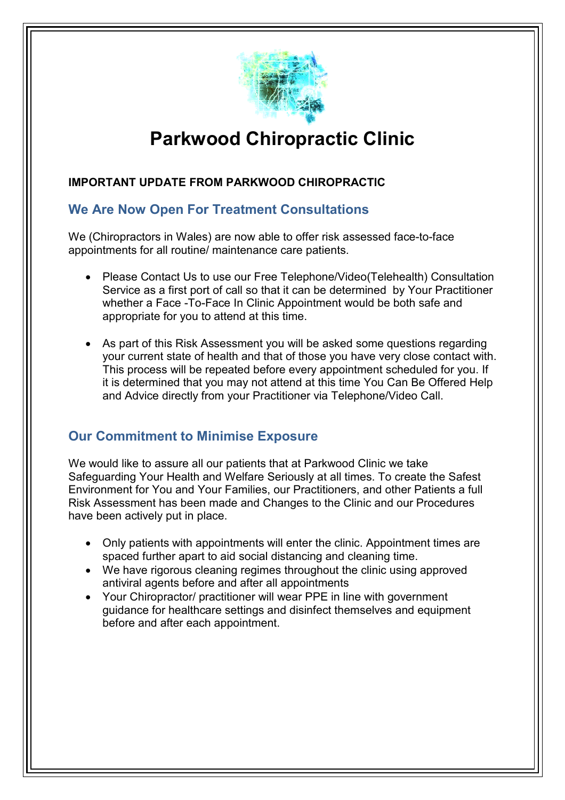

# **Parkwood Chiropractic Clinic**

### **IMPORTANT UPDATE FROM PARKWOOD CHIROPRACTIC**

# **We Are Now Open For Treatment Consultations**

We (Chiropractors in Wales) are now able to offer risk assessed face face-to-face appointments for all routine/ maintenance care patients patients.

- Please Contact Us to use our Free Telephone/Video(Telehealth) Consultation Service as a first port of call so that it can be determined by Your Practitioner whether a Face -To-Face In Clinic Appointment would be both safe and appropriate for you to attend at this time.
- As part of this Risk Assessment you will be asked some questions regarding your current state of health and that of those you have very close contact with. This process will be repeated before every appointment scheduled for you. I it is determined that you may not attend at this time You Can Be Offered Help and Advice directly from your Practitioner via Telephone/Video Call. ppointment would be both safe and<br>ime.<br>will be asked some questions regarding<br>of those you have very close contact with<br>every appointment scheduled for you. If

## **Our Commitment to Minimise Exposure**

We would like to assure all our patients that at Parkwood Clinic we take Safeguarding Your Health and Welfare Seriously at all times. To create the Safest Environment for You and Your Families, our Practitioners, and other Patients a full Risk Assessment has been made and Changes to the Clinic and our Procedures have been actively put in place.

- Only patients with appointments will enter the clinic. Appointment times are spaced further apart to aid social distancing and cleaning time.
- We have rigorous cleaning regimes throughout the clinic using approved antiviral agents before and after all appointments
- Your Chiropractor/ practitioner will wear PPE in line with government guidance for healthcare settings and disinfect themselves and equipment before and after each appointment.